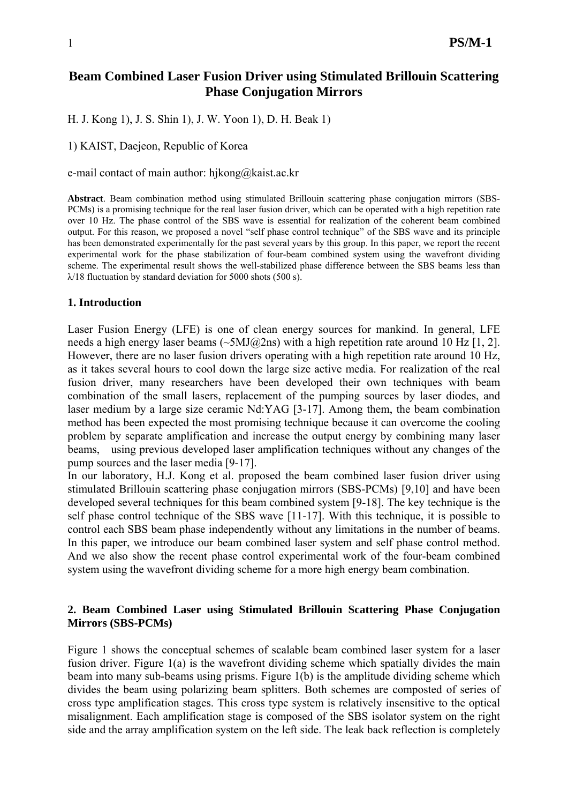# **Beam Combined Laser Fusion Driver using Stimulated Brillouin Scattering Phase Conjugation Mirrors**

H. J. Kong 1), J. S. Shin 1), J. W. Yoon 1), D. H. Beak 1)

1) KAIST, Daejeon, Republic of Korea

e-mail contact of main author: hjkong@kaist.ac.kr

**Abstract**. Beam combination method using stimulated Brillouin scattering phase conjugation mirrors (SBS-PCMs) is a promising technique for the real laser fusion driver, which can be operated with a high repetition rate over 10 Hz. The phase control of the SBS wave is essential for realization of the coherent beam combined output. For this reason, we proposed a novel "self phase control technique" of the SBS wave and its principle has been demonstrated experimentally for the past several years by this group. In this paper, we report the recent experimental work for the phase stabilization of four-beam combined system using the wavefront dividing scheme. The experimental result shows the well-stabilized phase difference between the SBS beams less than  $\lambda$ /18 fluctuation by standard deviation for 5000 shots (500 s).

### **1. Introduction**

Laser Fusion Energy (LFE) is one of clean energy sources for mankind. In general, LFE needs a high energy laser beams ( $\sim$ 5MJ@2ns) with a high repetition rate around 10 Hz [1, 2]. However, there are no laser fusion drivers operating with a high repetition rate around 10 Hz, as it takes several hours to cool down the large size active media. For realization of the real fusion driver, many researchers have been developed their own techniques with beam combination of the small lasers, replacement of the pumping sources by laser diodes, and laser medium by a large size ceramic Nd:YAG [3-17]. Among them, the beam combination method has been expected the most promising technique because it can overcome the cooling problem by separate amplification and increase the output energy by combining many laser beams, using previous developed laser amplification techniques without any changes of the pump sources and the laser media [9-17].

In our laboratory, H.J. Kong et al. proposed the beam combined laser fusion driver using stimulated Brillouin scattering phase conjugation mirrors (SBS-PCMs) [9,10] and have been developed several techniques for this beam combined system [9-18]. The key technique is the self phase control technique of the SBS wave [11-17]. With this technique, it is possible to control each SBS beam phase independently without any limitations in the number of beams. In this paper, we introduce our beam combined laser system and self phase control method. And we also show the recent phase control experimental work of the four-beam combined system using the wavefront dividing scheme for a more high energy beam combination.

## **2. Beam Combined Laser using Stimulated Brillouin Scattering Phase Conjugation Mirrors (SBS-PCMs)**

Figure 1 shows the conceptual schemes of scalable beam combined laser system for a laser fusion driver. Figure 1(a) is the wavefront dividing scheme which spatially divides the main beam into many sub-beams using prisms. Figure 1(b) is the amplitude dividing scheme which divides the beam using polarizing beam splitters. Both schemes are composted of series of cross type amplification stages. This cross type system is relatively insensitive to the optical misalignment. Each amplification stage is composed of the SBS isolator system on the right side and the array amplification system on the left side. The leak back reflection is completely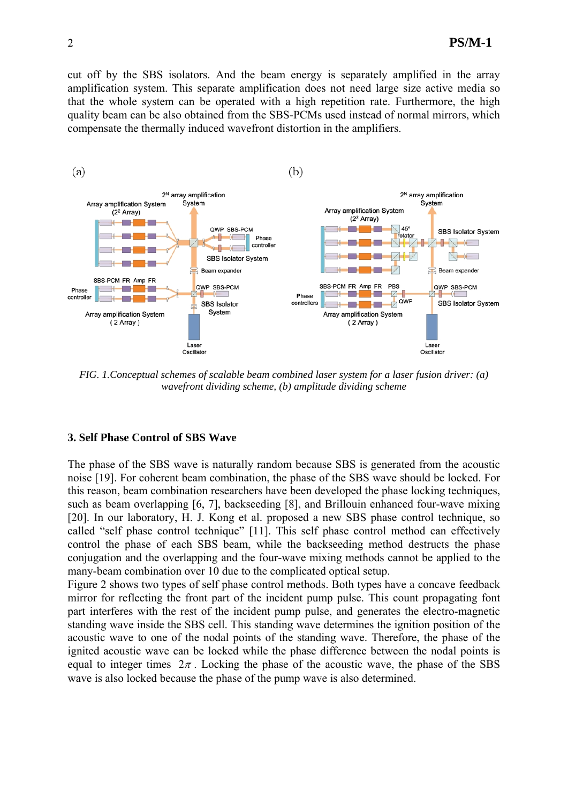cut off by the SBS isolators. And the beam energy is separately amplified in the array amplification system. This separate amplification does not need large size active media so that the whole system can be operated with a high repetition rate. Furthermore, the high quality beam can be also obtained from the SBS-PCMs used instead of normal mirrors, which compensate the thermally induced wavefront distortion in the amplifiers.



*FIG. 1.Conceptual schemes of scalable beam combined laser system for a laser fusion driver: (a) wavefront dividing scheme, (b) amplitude dividing scheme* 

### **3. Self Phase Control of SBS Wave**

The phase of the SBS wave is naturally random because SBS is generated from the acoustic noise [19]. For coherent beam combination, the phase of the SBS wave should be locked. For this reason, beam combination researchers have been developed the phase locking techniques, such as beam overlapping [6, 7], backseeding [8], and Brillouin enhanced four-wave mixing [20]. In our laboratory, H. J. Kong et al. proposed a new SBS phase control technique, so called "self phase control technique" [11]. This self phase control method can effectively control the phase of each SBS beam, while the backseeding method destructs the phase conjugation and the overlapping and the four-wave mixing methods cannot be applied to the many-beam combination over 10 due to the complicated optical setup.

Figure 2 shows two types of self phase control methods. Both types have a concave feedback mirror for reflecting the front part of the incident pump pulse. This count propagating font part interferes with the rest of the incident pump pulse, and generates the electro-magnetic standing wave inside the SBS cell. This standing wave determines the ignition position of the acoustic wave to one of the nodal points of the standing wave. Therefore, the phase of the ignited acoustic wave can be locked while the phase difference between the nodal points is equal to integer times  $2\pi$ . Locking the phase of the acoustic wave, the phase of the SBS wave is also locked because the phase of the pump wave is also determined.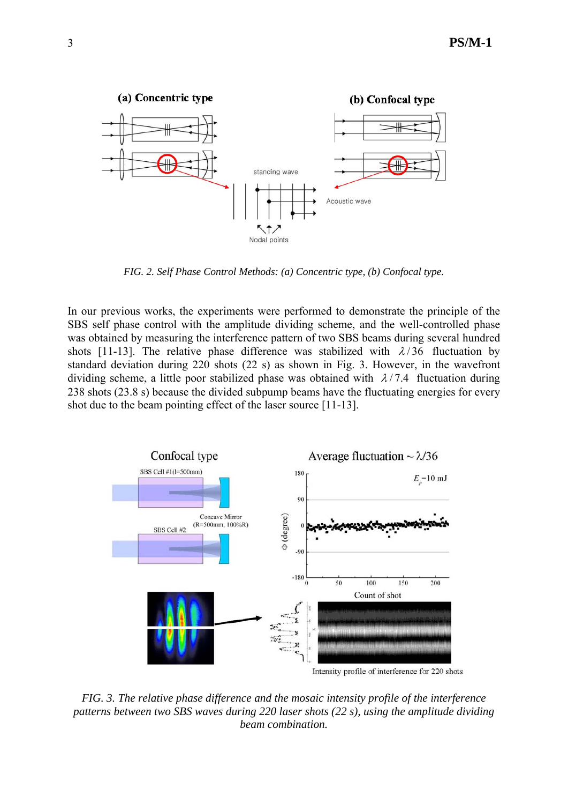

*FIG. 2. Self Phase Control Methods: (a) Concentric type, (b) Confocal type.* 

In our previous works, the experiments were performed to demonstrate the principle of the SBS self phase control with the amplitude dividing scheme, and the well-controlled phase was obtained by measuring the interference pattern of two SBS beams during several hundred shots [11-13]. The relative phase difference was stabilized with  $\lambda/36$  fluctuation by standard deviation during 220 shots (22 s) as shown in Fig. 3. However, in the wavefront dividing scheme, a little poor stabilized phase was obtained with  $\lambda/7.4$  fluctuation during 238 shots (23.8 s) because the divided subpump beams have the fluctuating energies for every shot due to the beam pointing effect of the laser source [11-13].



*FIG. 3. The relative phase difference and the mosaic intensity profile of the interference patterns between two SBS waves during 220 laser shots (22 s), using the amplitude dividing beam combination.*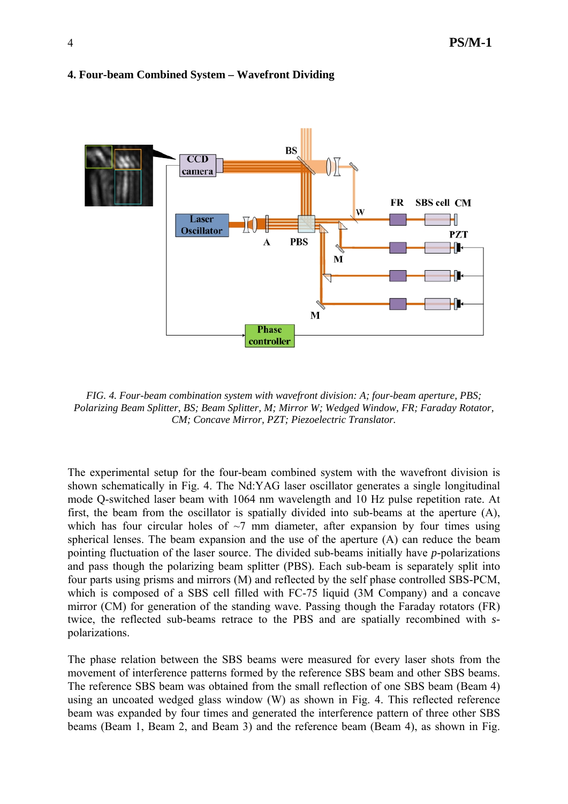

#### **4. Four-beam Combined System – Wavefront Dividing**

*FIG. 4. Four-beam combination system with wavefront division: A; four-beam aperture, PBS; Polarizing Beam Splitter, BS; Beam Splitter, M; Mirror W; Wedged Window, FR; Faraday Rotator, CM; Concave Mirror, PZT; Piezoelectric Translator.* 

The experimental setup for the four-beam combined system with the wavefront division is shown schematically in Fig. 4. The Nd:YAG laser oscillator generates a single longitudinal mode Q-switched laser beam with 1064 nm wavelength and 10 Hz pulse repetition rate. At first, the beam from the oscillator is spatially divided into sub-beams at the aperture (A), which has four circular holes of  $\sim$ 7 mm diameter, after expansion by four times using spherical lenses. The beam expansion and the use of the aperture (A) can reduce the beam pointing fluctuation of the laser source. The divided sub-beams initially have *p-*polarizations and pass though the polarizing beam splitter (PBS). Each sub-beam is separately split into four parts using prisms and mirrors (M) and reflected by the self phase controlled SBS-PCM, which is composed of a SBS cell filled with FC-75 liquid (3M Company) and a concave mirror (CM) for generation of the standing wave. Passing though the Faraday rotators (FR) twice, the reflected sub-beams retrace to the PBS and are spatially recombined with *s*polarizations.

The phase relation between the SBS beams were measured for every laser shots from the movement of interference patterns formed by the reference SBS beam and other SBS beams. The reference SBS beam was obtained from the small reflection of one SBS beam (Beam 4) using an uncoated wedged glass window (W) as shown in Fig. 4. This reflected reference beam was expanded by four times and generated the interference pattern of three other SBS beams (Beam 1, Beam 2, and Beam 3) and the reference beam (Beam 4), as shown in Fig.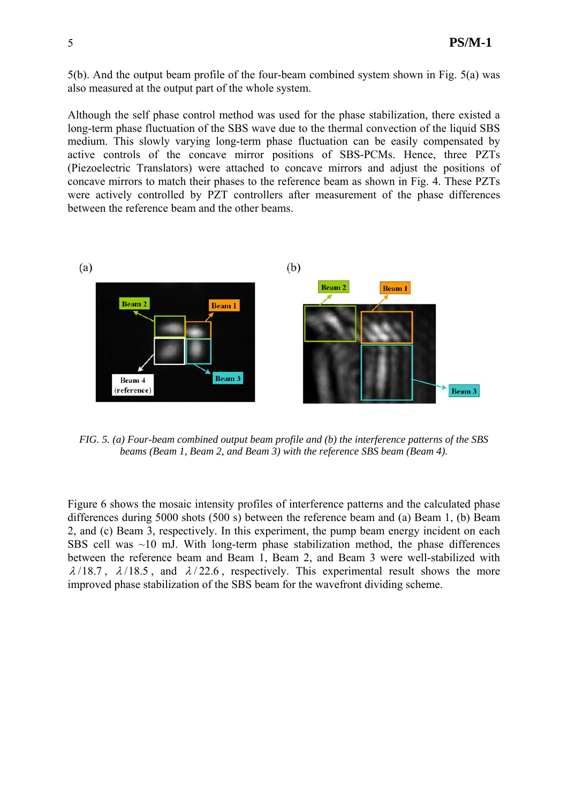5(b). And the output beam profile of the four-beam combined system shown in Fig. 5(a) was also measured at the output part of the whole system.

Although the self phase control method was used for the phase stabilization, there existed a long-term phase fluctuation of the SBS wave due to the thermal convection of the liquid SBS medium. This slowly varying long-term phase fluctuation can be easily compensated by active controls of the concave mirror positions of SBS-PCMs. Hence, three PZTs (Piezoelectric Translators) were attached to concave mirrors and adjust the positions of concave mirrors to match their phases to the reference beam as shown in Fig. 4. These PZTs were actively controlled by PZT controllers after measurement of the phase differences between the reference beam and the other beams.



*FIG. 5. (a) Four-beam combined output beam profile and (b) the interference patterns of the SBS beams (Beam 1, Beam 2, and Beam 3) with the reference SBS beam (Beam 4).*

Figure 6 shows the mosaic intensity profiles of interference patterns and the calculated phase differences during 5000 shots (500 s) between the reference beam and (a) Beam 1, (b) Beam 2, and (c) Beam 3, respectively. In this experiment, the pump beam energy incident on each SBS cell was  $\sim$ 10 mJ. With long-term phase stabilization method, the phase differences between the reference beam and Beam 1, Beam 2, and Beam 3 were well-stabilized with  $\lambda/18.7$ ,  $\lambda/18.5$ , and  $\lambda/22.6$ , respectively. This experimental result shows the more improved phase stabilization of the SBS beam for the wavefront dividing scheme.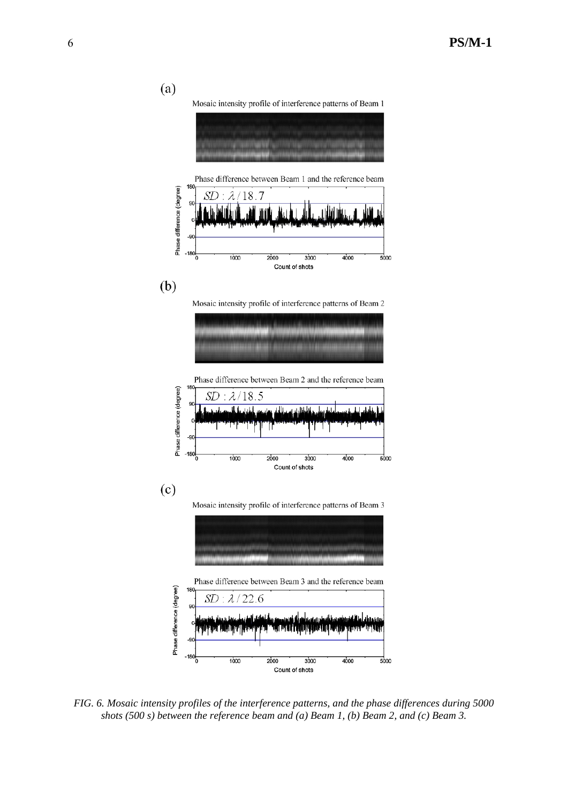

*FIG. 6. Mosaic intensity profiles of the interference patterns, and the phase differences during 5000 shots (500 s) between the reference beam and (a) Beam 1, (b) Beam 2, and (c) Beam 3.*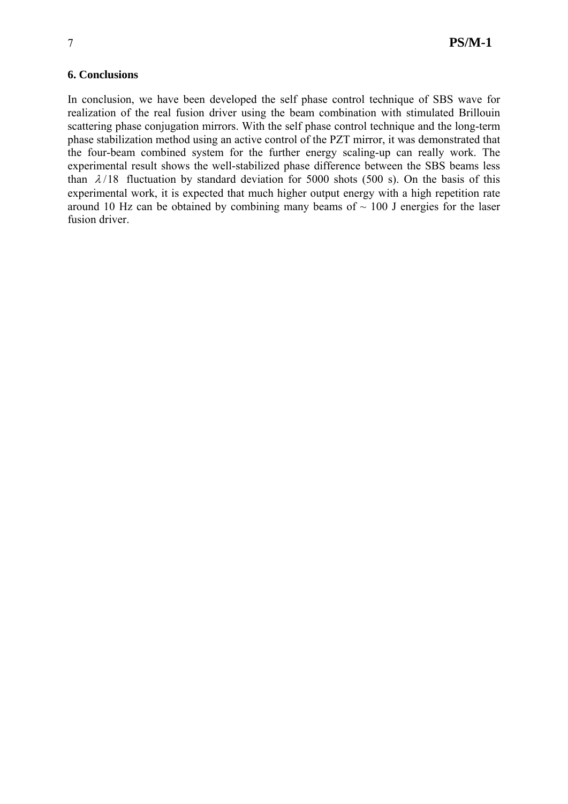### **6. Conclusions**

In conclusion, we have been developed the self phase control technique of SBS wave for realization of the real fusion driver using the beam combination with stimulated Brillouin scattering phase conjugation mirrors. With the self phase control technique and the long-term phase stabilization method using an active control of the PZT mirror, it was demonstrated that the four-beam combined system for the further energy scaling-up can really work. The experimental result shows the well-stabilized phase difference between the SBS beams less than  $\lambda/18$  fluctuation by standard deviation for 5000 shots (500 s). On the basis of this experimental work, it is expected that much higher output energy with a high repetition rate around 10 Hz can be obtained by combining many beams of  $\sim$  100 J energies for the laser fusion driver.